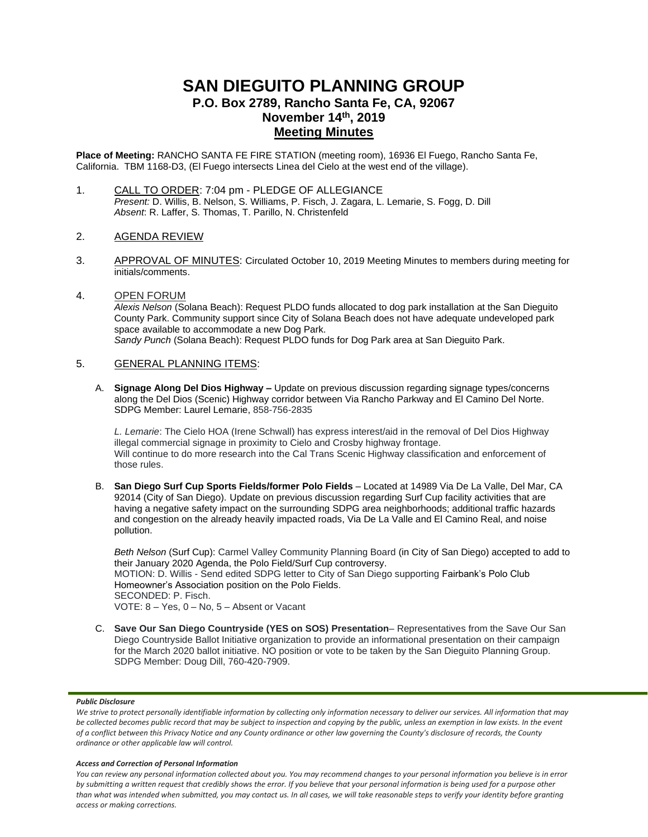# **SAN DIEGUITO PLANNING GROUP P.O. Box 2789, Rancho Santa Fe, CA, 92067 November 14 th, 2019 Meeting Minutes**

**Place of Meeting:** RANCHO SANTA FE FIRE STATION (meeting room), 16936 El Fuego, Rancho Santa Fe, California. TBM 1168-D3, (El Fuego intersects Linea del Cielo at the west end of the village).

- 1. CALL TO ORDER: 7:04 pm PLEDGE OF ALLEGIANCE *Present:* D. Willis, B. Nelson, S. Williams, P. Fisch, J. Zagara, L. Lemarie, S. Fogg, D. Dill *Absent*: R. Laffer, S. Thomas, T. Parillo, N. Christenfeld
- 2. AGENDA REVIEW
- 3. APPROVAL OF MINUTES: Circulated October 10, 2019 Meeting Minutes to members during meeting for initials/comments.
- 4. OPEN FORUM *Alexis Nelson* (Solana Beach): Request PLDO funds allocated to dog park installation at the San Dieguito County Park. Community support since City of Solana Beach does not have adequate undeveloped park space available to accommodate a new Dog Park. *Sandy Punch* (Solana Beach): Request PLDO funds for Dog Park area at San Dieguito Park.

# 5. GENERAL PLANNING ITEMS:

A. **Signage Along Del Dios Highway –** Update on previous discussion regarding signage types/concerns along the Del Dios (Scenic) Highway corridor between Via Rancho Parkway and El Camino Del Norte. SDPG Member: Laurel Lemarie, 858-756-2835

*L. Lemarie*: The Cielo HOA (Irene Schwall) has express interest/aid in the removal of Del Dios Highway illegal commercial signage in proximity to Cielo and Crosby highway frontage. Will continue to do more research into the Cal Trans Scenic Highway classification and enforcement of those rules.

B. **San Diego Surf Cup Sports Fields/former Polo Fields** – Located at 14989 Via De La Valle, Del Mar, CA 92014 (City of San Diego). Update on previous discussion regarding Surf Cup facility activities that are having a negative safety impact on the surrounding SDPG area neighborhoods; additional traffic hazards and congestion on the already heavily impacted roads, Via De La Valle and El Camino Real, and noise pollution.

*Beth Nelson* (Surf Cup): Carmel Valley Community Planning Board (in City of San Diego) accepted to add to their January 2020 Agenda, the Polo Field/Surf Cup controversy. MOTION: D. Willis - Send edited SDPG letter to City of San Diego supporting Fairbank's Polo Club Homeowner's Association position on the Polo Fields. SECONDED: P. Fisch. VOTE: 8 – Yes, 0 – No, 5 – Absent or Vacant

C. **Save Our San Diego Countryside (YES on SOS) Presentation**– Representatives from the Save Our San Diego Countryside Ballot Initiative organization to provide an informational presentation on their campaign for the March 2020 ballot initiative. NO position or vote to be taken by the San Dieguito Planning Group. SDPG Member: Doug Dill, 760-420-7909.

## *Public Disclosure*

#### *Access and Correction of Personal Information*

*You can review any personal information collected about you. You may recommend changes to your personal information you believe is in error by submitting a written request that credibly shows the error. If you believe that your personal information is being used for a purpose other than what was intended when submitted, you may contact us. In all cases, we will take reasonable steps to verify your identity before granting access or making corrections.*

We strive to protect personally identifiable information by collecting only information necessary to deliver our services. All information that may *be collected becomes public record that may be subject to inspection and copying by the public, unless an exemption in law exists. In the event of a conflict between this Privacy Notice and any County ordinance or other law governing the County's disclosure of records, the County ordinance or other applicable law will control.*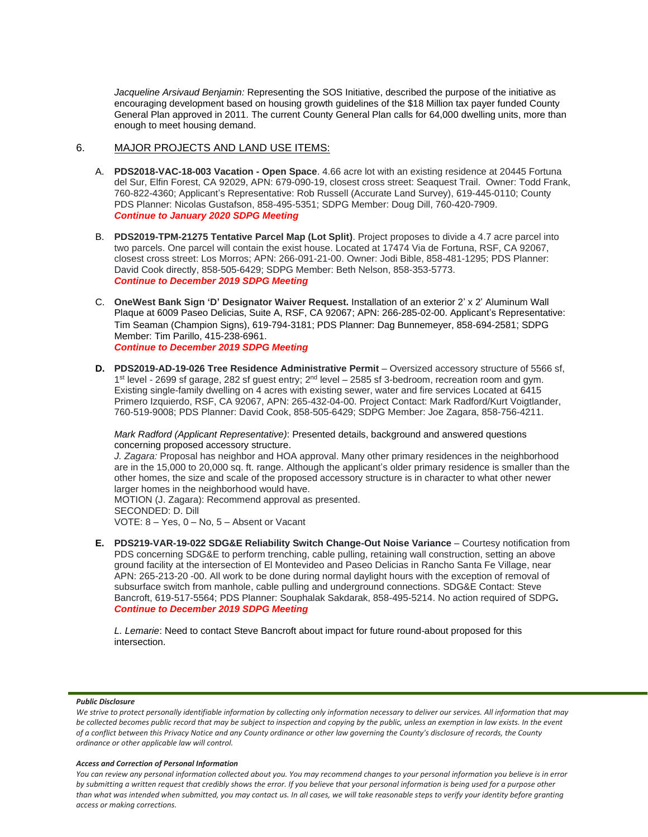*Jacqueline Arsivaud Benjamin:* Representing the SOS Initiative, described the purpose of the initiative as encouraging development based on housing growth guidelines of the \$18 Million tax payer funded County General Plan approved in 2011. The current County General Plan calls for 64,000 dwelling units, more than enough to meet housing demand.

# 6. MAJOR PROJECTS AND LAND USE ITEMS:

- A. **PDS2018-VAC-18-003 Vacation - Open Space**. 4.66 acre lot with an existing residence at 20445 Fortuna del Sur, Elfin Forest, CA 92029, APN: 679-090-19, closest cross street: Seaquest Trail. Owner: Todd Frank, 760-822-4360; Applicant's Representative: Rob Russell (Accurate Land Survey), 619-445-0110; County PDS Planner: Nicolas Gustafson, 858-495-5351; SDPG Member: Doug Dill, 760-420-7909. *Continue to January 2020 SDPG Meeting*
- B. **PDS2019-TPM-21275 Tentative Parcel Map (Lot Split)**. Project proposes to divide a 4.7 acre parcel into two parcels. One parcel will contain the exist house. Located at 17474 Via de Fortuna, RSF, CA 92067, closest cross street: Los Morros; APN: 266-091-21-00. Owner: Jodi Bible, 858-481-1295; PDS Planner: David Cook directly, 858-505-6429; SDPG Member: Beth Nelson, 858-353-5773. *Continue to December 2019 SDPG Meeting*
- C. **OneWest Bank Sign 'D' Designator Waiver Request.** Installation of an exterior 2' x 2' Aluminum Wall Plaque at 6009 Paseo Delicias, Suite A, RSF, CA 92067; APN: 266-285-02-00. Applicant's Representative: Tim Seaman (Champion Signs), 619-794-3181; PDS Planner: Dag Bunnemeyer, 858-694-2581; SDPG Member: Tim Parillo, 415-238-6961. *Continue to December 2019 SDPG Meeting*
- **D. PDS2019-AD-19-026 Tree Residence Administrative Permit** Oversized accessory structure of 5566 sf, 1<sup>st</sup> level - 2699 sf garage, 282 sf guest entry; 2<sup>nd</sup> level – 2585 sf 3-bedroom, recreation room and gym. Existing single-family dwelling on 4 acres with existing sewer, water and fire services Located at 6415 Primero Izquierdo, RSF, CA 92067, APN: 265-432-04-00. Project Contact: Mark Radford/Kurt Voigtlander, 760-519-9008; PDS Planner: David Cook, 858-505-6429; SDPG Member: Joe Zagara, 858-756-4211.

*Mark Radford (Applicant Representative)*: Presented details, background and answered questions concerning proposed accessory structure.

*J. Zagara:* Proposal has neighbor and HOA approval. Many other primary residences in the neighborhood are in the 15,000 to 20,000 sq. ft. range. Although the applicant's older primary residence is smaller than the other homes, the size and scale of the proposed accessory structure is in character to what other newer larger homes in the neighborhood would have.

MOTION (J. Zagara): Recommend approval as presented.

SECONDED: D. Dill

VOTE: 8 – Yes, 0 – No, 5 – Absent or Vacant

**E. PDS219-VAR-19-022 SDG&E Reliability Switch Change-Out Noise Variance** – Courtesy notification from PDS concerning SDG&E to perform trenching, cable pulling, retaining wall construction, setting an above ground facility at the intersection of El Montevideo and Paseo Delicias in Rancho Santa Fe Village, near APN: 265-213-20 -00. All work to be done during normal daylight hours with the exception of removal of subsurface switch from manhole, cable pulling and underground connections. SDG&E Contact: Steve Bancroft, 619-517-5564; PDS Planner: Souphalak Sakdarak, 858-495-5214. No action required of SDPG**.** *Continue to December 2019 SDPG Meeting*

*L. Lemarie*: Need to contact Steve Bancroft about impact for future round-about proposed for this intersection.

#### *Public Disclosure*

#### *Access and Correction of Personal Information*

*You can review any personal information collected about you. You may recommend changes to your personal information you believe is in error by submitting a written request that credibly shows the error. If you believe that your personal information is being used for a purpose other than what was intended when submitted, you may contact us. In all cases, we will take reasonable steps to verify your identity before granting access or making corrections.*

We strive to protect personally identifiable information by collecting only information necessary to deliver our services. All information that may *be collected becomes public record that may be subject to inspection and copying by the public, unless an exemption in law exists. In the event of a conflict between this Privacy Notice and any County ordinance or other law governing the County's disclosure of records, the County ordinance or other applicable law will control.*